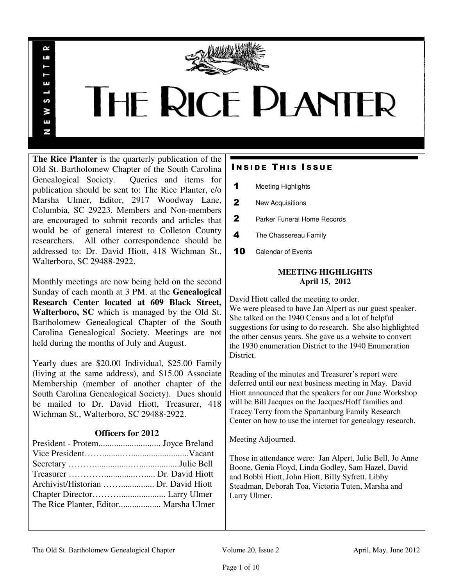

# THE RICE PLANTER

**The Rice Planter** is the quarterly publication of the Old St. Bartholomew Chapter of the South Carolina Genealogical Society. Queries and items for publication should be sent to: The Rice Planter, c/o Marsha Ulmer, Editor, 2917 Woodway Lane, Columbia, SC 29223. Members and Non-members are encouraged to submit records and articles that would be of general interest to Colleton County researchers. All other correspondence should be addressed to: Dr. David Hiott, 418 Wichman St., Walterboro, SC 29488-2922.

R uń

ш

S š E N

Monthly meetings are now being held on the second Sunday of each month at 3 PM. at the **Genealogical Research Center located at 609 Black Street, Walterboro, SC** which is managed by the Old St. Bartholomew Genealogical Chapter of the South Carolina Genealogical Society. Meetings are not held during the months of July and August.

Yearly dues are \$20.00 Individual, \$25.00 Family (living at the same address), and \$15.00 Associate Membership (member of another chapter of the South Carolina Genealogical Society). Dues should be mailed to Dr. David Hiott, Treasurer, 418 Wichman St., Walterboro, SC 29488-2922.

# **Officers for 2012**

| Archivist/Historian  Dr. David Hiott |  |
|--------------------------------------|--|
|                                      |  |
|                                      |  |
|                                      |  |

# **INSIDE THIS ISSUE**

- 1 Meeting Highlights
- 2 New Acquisitions
- 2 Parker Funeral Home Records
- 4 The Chassereau Family
- 10 Calendar of Events

## **MEETING HIGHLIGHTS April 15, 2012**

David Hiott called the meeting to order. We were pleased to have Jan Alpert as our guest speaker. She talked on the 1940 Census and a lot of helpful suggestions for using to do research. She also highlighted the other census years. She gave us a website to convert the 1930 enumeration District to the 1940 Enumeration District.

Reading of the minutes and Treasurer's report were deferred until our next business meeting in May. David Hiott announced that the speakers for our June Workshop will be Bill Jacques on the Jacques/Hoff families and Tracey Terry from the Spartanburg Family Research Center on how to use the internet for genealogy research.

Meeting Adjourned.

Those in attendance were: Jan Alpert, Julie Bell, Jo Anne Boone, Genia Floyd, Linda Godley, Sam Hazel, David and Bobbi Hiott, John Hiott, Billy Syfrett, Libby Steadman, Deborah Toa, Victoria Tuten, Marsha and Larry Ulmer.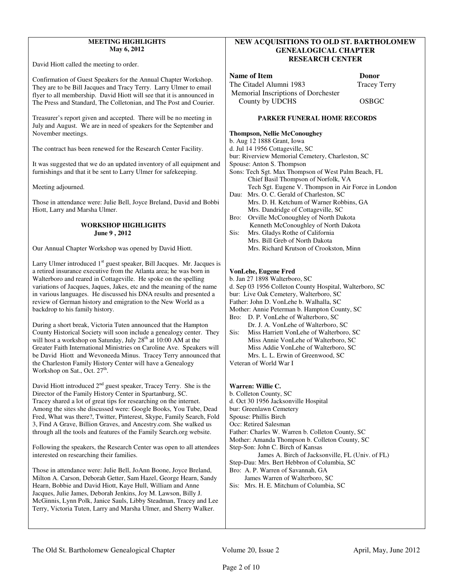#### **MEETING HIGHLIGHTS May 6, 2012**

David Hiott called the meeting to order.

Confirmation of Guest Speakers for the Annual Chapter Workshop. They are to be Bill Jacques and Tracy Terry. Larry Ulmer to email flyer to all membership. David Hiott will see that it is announced in The Press and Standard, The Colletonian, and The Post and Courier.

Treasurer's report given and accepted. There will be no meeting in July and August. We are in need of speakers for the September and November meetings.

The contract has been renewed for the Research Center Facility.

It was suggested that we do an updated inventory of all equipment and furnishings and that it be sent to Larry Ulmer for safekeeping.

Meeting adjourned.

Those in attendance were: Julie Bell, Joyce Breland, David and Bobbi Hiott, Larry and Marsha Ulmer.

#### **WORKSHOP HIGHLIGHTS June 9 , 2012**

Our Annual Chapter Workshop was opened by David Hiott.

Larry Ulmer introduced  $1<sup>st</sup>$  guest speaker, Bill Jacques. Mr. Jacques is a retired insurance executive from the Atlanta area; he was born in Walterboro and reared in Cottageville. He spoke on the spelling variations of Jacques, Jaques, Jakes, etc and the meaning of the name in various languages. He discussed his DNA results and presented a review of German history and emigration to the New World as a backdrop to his family history.

During a short break, Victoria Tuten announced that the Hampton County Historical Society will soon include a genealogy center. They will host a workshop on Saturday, July  $28<sup>th</sup>$  at 10:00 AM at the Greater Faith International Ministries on Caroline Ave. Speakers will be David Hiott and Wevoneeda Minus. Tracey Terry announced that the Charleston Family History Center will have a Genealogy Workshop on Sat., Oct. 27<sup>th</sup>.

David Hiott introduced 2<sup>nd</sup> guest speaker, Tracey Terry. She is the Director of the Family History Center in Spartanburg, SC. Tracey shared a lot of great tips for researching on the internet. Among the sites she discussed were: Google Books, You Tube, Dead Fred, What was there?, Twitter, Pinterest, Skype, Family Search, Fold 3, Find A Grave, Billion Graves, and Ancestry.com. She walked us through all the tools and features of the Family Search.org website.

Following the speakers, the Research Center was open to all attendees interested on researching their families.

Those in attendance were: Julie Bell, JoAnn Boone, Joyce Breland, Milton A. Carson, Deborah Getter, Sam Hazel, George Hearn, Sandy Hearn, Bobbie and David Hiott, Kaye Hull, William and Anne Jacques, Julie James, Deborah Jenkins, Joy M. Lawson, Billy J. McGinnis, Lynn Polk, Janice Sauls, Libby Steadman, Tracey and Lee Terry, Victoria Tuten, Larry and Marsha Ulmer, and Sherry Walker.

#### **NEW ACQUISITIONS TO OLD ST. BARTHOLOMEW GENEALOGICAL CHAPTER RESEARCH CENTER**

#### **Name of Item Donor CONSUMER**

The Citadel Alumni 1983 Tracey Terry Memorial Inscriptions of Dorchester County by UDCHS OSBGC

#### **PARKER FUNERAL HOME RECORDS**

#### **Thompson, Nellie McConoughey**

b. Aug 12 1888 Grant, Iowa

d. Jul 14 1956 Cottageville, SC

bur: Riverview Memorial Cemetery, Charleston, SC

- Spouse: Anton S. Thompson
- Sons: Tech Sgt. Max Thompson of West Palm Beach, FL Chief Basil Thompson of Norfolk, VA Tech Sgt. Eugene V. Thompson in Air Force in London
- Dau: Mrs. O. C. Gerald of Charleston, SC Mrs. D. H. Ketchum of Warner Robbins, GA Mrs. Dandridge of Cottageville, SC
- Bro: Orville McConoughley of North Dakota Kenneth McConoughley of North Dakota
- Sis: Mrs. Gladys Rothe of California Mrs. Bill Greb of North Dakota Mrs. Richard Krutson of Crookston, Minn

#### **VonLehe, Eugene Fred**

b. Jan 27 1898 Walterboro, SC

d. Sep 03 1956 Colleton County Hospital, Walterboro, SC

- bur: Live Oak Cemetery, Walterboro, SC
- Father: John D. VonLehe b. Walhalla, SC
- Mother: Annie Peterman b. Hampton County, SC
- Bro: D. P. VonLehe of Walterboro, SC Dr. J. A. VonLehe of Walterboro, SC Sis: Miss Harriett VonLehe of Walterboro, SC
- Miss Annie VonLehe of Walterboro, SC Miss Addie VonLehe of Walterboro, SC Mrs. L. L. Erwin of Greenwood, SC

Veteran of World War I

#### **Warren: Willie C.**

- b. Colleton County, SC
- d. Oct 30 1956 Jacksonville Hospital
- bur: Greenlawn Cemetery Spouse: Phillis Birch
- Occ: Retired Salesman
- Father: Charles W. Warren b. Colleton County, SC
- Mother: Amanda Thompson b. Colleton County, SC
- Step-Son: John C. Birch of Kansas

James A. Birch of Jacksonville, FL (Univ. of FL)

Step-Dau: Mrs. Bert Hebbron of Columbia, SC

Bro: A. P. Warren of Savannah, GA

 James Warren of Walterboro, SC Sis: Mrs. H. E. Mitchum of Columbia, SC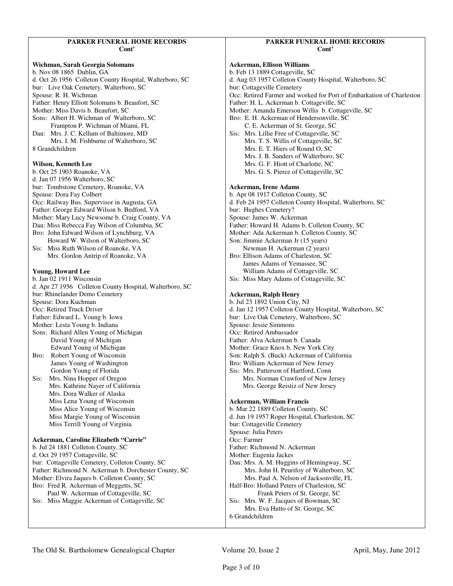#### **PARKER FUNERAL HOME RECORDS Cont'**

#### **Wichman, Sarah Georgia Solomans**  b. Nov 08 1865 Dublin, GA d. Oct 26 1956 Colleton County Hospital, Walterboro, SC bur: Live Oak Cemetery, Walterboro, SC Spouse: R. H. Wichman Father: Henry Elliott Solomans b. Beaufort, SC Mother: Miss Davis b. Beaufort, SC Sons: Albert H. Wichman of Walterboro, SC Frampton P. Wichman of Miami, FL Dau: Mrs. J. C. Kellum of Baltimore, MD Mrs. I. M. Fishburne of Walterboro, SC 8 Grandchildren **Wilson, Kenneth Lee**  b. Oct 25 1903 Roanoke, VA d. Jan 07 1956 Walterboro, SC bur: Tombstone Cemetery, Roanoke, VA Spouse: Dora Fay Colbert Occ: Railway Bus. Supervisor in Augusta, GA Father: George Edward Wilson b. Bedford, VA Mother: Mary Lucy Newsome b. Craig County, VA Dau: Miss Rebecca Fay Wilson of Columbia, SC Bro: John Edward Wilson of Lynchburg, VA Howard W. Wilson of Walterboro, SC Sis: Miss Ruth Wilson of Roanoke, VA Mrs. Gordon Antrip of Roanoke, VA **Young, Howard Lee**  b. Jan 02 1911 Wisconsin d. Apr 27 1956 Colleton County Hospital, Walterboro, SC bur: Rhinelander Demo Cemetery Spouse: Dora Kuchman Occ: Retired Truck Driver Father: Edward L. Young b. Iowa Mother: Lesta Young b. Indiana Sons: Richard Allen Young of Michigan David Young of Michigan Edward Young of Michigan Bro: Robert Young of Wisconsin James Young of Washington Gordon Young of Florida Sis: Mrs. Nina Hopper of Oregon Mrs. Kathrine Nayer of California Mrs. Dora Walker of Alaska Miss Lena Young of Wisconsin Miss Alice Young of Wisconsin Miss Margie Young of Wisconsin Miss Terrill Young of Virginia **Ackerman, Caroline Elizabeth "Carrie"**  b. Jul 24 1881 Colleton County, SC d. Oct 29 1957 Cottageville, SC bur: Cottageville Cemetery, Colleton County, SC Father: Richmond N. Ackerman b. Dorchester County, SC Mother: Elvira Jaques b. Colleton County, SC Bro: Fred R. Ackerman of Meggetts, SC Paul W. Ackerman of Cottageville, SC Sis: Miss Maggie Ackerman of Cottageville, SC

#### **PARKER FUNERAL HOME RECORDS Cont'**

**Ackerman, Ellison Williams**  b. Feb 13 1889 Cottageville, SC d. Aug 03 1957 Colleton County Hospital, Walterboro, SC bur: Cottageville Cemetery Occ: Retired Farmer and worked for Port of Embarkation of Charleston Father: H. L. Ackerman b. Cottageville, SC Mother: Amanda Emerson Willis b. Cottageville, SC Bro: E. H. Ackerman of Hendersonville, SC C. E. Ackerman of St. George, SC Sis: Mrs. Lillie Free of Cottageville, SC Mrs. T. S. Willis of Cottageville, SC Mrs. E. T. Hiers of Round O, SC Mrs. J. B. Sanders of Walterboro, SC Mrs. G. F. Hiott of Charlotte, NC Mrs. G. S. Pierce of Cottageville, SC **Ackerman, Irene Adams**  b. Apr 08 1917 Colleton County, SC d. Feb 24 1957 Colleton County Hospital, Walterboro, SC bur: Hughes Cemetery? Spouse: James W. Ackerman Father: Howard H. Adams b. Colleton County, SC Mother: Ada Ackerman b. Colleton County, SC Son: Jimmie Ackerman Jr (15 years) Newman H. Ackerman (2 years) Bro: Ellison Adams of Charleston, SC James Adams of Yemassee, SC William Adams of Cottageville, SC Sis: Miss Mary Adams of Cottageville, SC **Ackerman, Ralph Henry**  b. Jul 23 1892 Union City, NJ d. Jan 12 1957 Colleton County Hospital, Walterboro, SC bur: Live Oak Cemetery, Walterboro, SC Spouse: Jessie Simmons Occ: Retired Ambassador Father: Alva Ackerman b. Canada Mother: Grace Knox b. New York City Son: Ralph S. (Buck) Ackerman of California Bro: William Ackerman of New Jersey Sis: Mrs. Patterson of Hartford, Conn Mrs. Norman Crawford of New Jersey Mrs. George Reistiz of New Jersey **Ackerman, William Francis**  b. Mar 22 1889 Colleton County, SC d. Jun 19 1957 Roper Hospital, Charleston, SC bur: Cottageville Cemetery Spouse: Julia Peters Occ: Farmer Father: Richmond N. Ackerman Mother: Eugenia Jackes Dau: Mrs. A. M. Huggins of Hemingway, SC Mrs. John H. Peurifoy of Walterboro, SC Mrs. Paul A. Nelson of Jacksonville, FL Half-Bro: Holland Peters of Charleston, SC Frank Peters of St. George, SC Sis: Mrs. W. F. Jacques of Bowman, SC Mrs. Eva Hutto of St. George, SC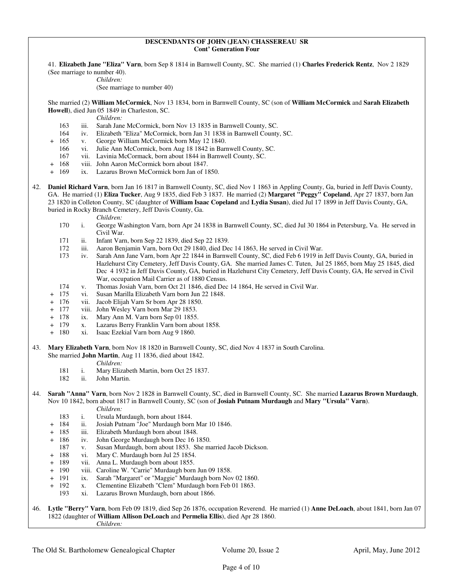#### **DESCENDANTS OF JOHN (JEAN) CHASSEREAU SR Cont' Generation Four**

 41. **Elizabeth Jane "Eliza" Varn**, born Sep 8 1814 in Barnwell County, SC. She married (1) **Charles Frederick Rentz**, Nov 2 1829 (See marriage to number 40).

*Children:*

(See marriage to number 40)

 She married (2) **William McCormick**, Nov 13 1834, born in Barnwell County, SC (son of **William McCormick** and **Sarah Elizabeth Howell**), died Jun 05 1849 in Charleston, SC.

*Children:*

- 163 iii. Sarah Jane McCormick, born Nov 13 1835 in Barnwell County, SC.<br>164 iv. Elizabeth "Eliza" McCormick, born Jan 31 1838 in Barnwell County
- iv. Elizabeth "Eliza" McCormick, born Jan 31 1838 in Barnwell County, SC.
- + 165 v. George William McCormick born May 12 1840.
	- 166 vi. Julie Ann McCormick, born Aug 18 1842 in Barnwell County, SC.
	- 167 vii. Lavinia McCormack, born about 1844 in Barnwell County, SC.
- + 168 viii. John Aaron McCormick born about 1847.
- 169 ix. Lazarus Brown McCormick born Jan of 1850.
- 42. **Daniel Richard Varn**, born Jan 16 1817 in Barnwell County, SC, died Nov 1 1863 in Appling County, Ga, buried in Jeff Davis County, GA. He married (1) **Eliza Tucker**, Aug 9 1835, died Feb 3 1837. He married (2) **Margaret "Peggy" Copeland**, Apr 27 1837, born Jan 23 1820 in Colleton County, SC (daughter of **William Isaac Copeland** and **Lydia Susan**), died Jul 17 1899 in Jeff Davis County, GA, buried in Rocky Branch Cemetery, Jeff Davis County, Ga.
	- *Children:*
	- 170 i. George Washington Varn, born Apr 24 1838 in Barnwell County, SC, died Jul 30 1864 in Petersburg, Va. He served in Civil War.
	- 171 ii. Infant Varn, born Sep 22 1839, died Sep 22 1839.<br>172 iii. Aaron Beniamin Varn, born Oct 29 1840, died De
	- 172 iii. Aaron Benjamin Varn, born Oct 29 1840, died Dec 14 1863, He served in Civil War.<br>173 iv. Sarah Ann Jane Varn, born Apr 22 1844 in Barnwell County, SC, died Feb 6 1919 in
	- iv. Sarah Ann Jane Varn, born Apr 22 1844 in Barnwell County, SC, died Feb 6 1919 in Jeff Davis County, GA, buried in Hazlehurst City Cemetery, Jeff Davis County, GA. She married James C. Tuten, Jul 25 1865, born May 25 1845, died Dec 4 1932 in Jeff Davis County, GA, buried in Hazlehurst City Cemetery, Jeff Davis County, GA, He served in Civil War, occupation Mail Carrier as of 1880 Census.
	- 174 v. Thomas Josiah Varn, born Oct 21 1846, died Dec 14 1864, He served in Civil War.
	- + 175 vi. Susan Marilla Elizabeth Varn born Jun 22 1848.
	- + 176 vii. Jacob Elijah Varn Sr born Apr 28 1850.
	- + 177 viii. John Wesley Varn born Mar 29 1853.
	- + 178 ix. Mary Ann M. Varn born Sep 01 1855.
	- x. Lazarus Berry Franklin Varn born about 1858.
	- + 180 xi. Isaac Ezekial Varn born Aug 9 1860.
- 43. **Mary Elizabeth Varn**, born Nov 18 1820 in Barnwell County, SC, died Nov 4 1837 in South Carolina.

She married **John Martin**, Aug 11 1836, died about 1842.

- *Children:*
- 181 i. Mary Elizabeth Martin, born Oct 25 1837.
- 182 ii. John Martin.

#### 44. **Sarah "Anna" Varn**, born Nov 2 1828 in Barnwell County, SC, died in Barnwell County, SC. She married **Lazarus Brown Murdaugh**, Nov 10 1842, born about 1817 in Barnwell County, SC (son of **Josiah Putnam Murdaugh** and **Mary "Ursula" Varn**).

- *Children:*
- 183 i. Ursula Murdaugh, born about 1844.
- + 184 ii. Josiah Putnam "Joe" Murdaugh born Mar 10 1846.
- + 185 iii. Elizabeth Murdaugh born about 1848.
- + 186 iv. John George Murdaugh born Dec 16 1850.
	- 187 v. Susan Murdaugh, born about 1853. She married Jacob Dickson.
- + 188 vi. Mary C. Murdaugh born Jul 25 1854.
- + 189 vii. Anna L. Murdaugh born about 1855.
- + 190 viii. Caroline W. "Carrie" Murdaugh born Jun 09 1858.
- + 191 ix. Sarah "Margaret" or "Maggie" Murdaugh born Nov 02 1860.
- + 192 x. Clementine Elizabeth "Clem" Murdaugh born Feb 01 1863.
	- 193 xi. Lazarus Brown Murdaugh, born about 1866.

46. **Lytle "Berry" Varn**, born Feb 09 1819, died Sep 26 1876, occupation Reverend. He married (1) **Anne DeLoach**, about 1841, born Jan 07 1822 (daughter of **William Allison DeLoach** and **Permelia Ellis**), died Apr 28 1860. *Children:*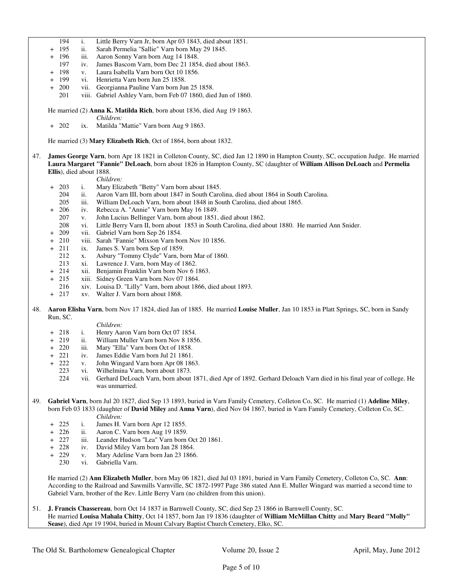- 194 i. Little Berry Varn Jr, born Apr 03 1843, died about 1851.
- ii. Sarah Permelia "Sallie" Varn born May 29 1845.
- + 196 iii. Aaron Sonny Varn born Aug 14 1848.
	- 197 iv. James Bascom Varn, born Dec 21 1854, died about 1863.
- 198 v. Laura Isabella Varn born Oct 10 1856.
- 199 vi. Henrietta Varn born Jun 25 1858.
- 200 vii. Georgianna Pauline Varn born Jun 25 1858.
	- 201 viii. Gabriel Ashley Varn, born Feb 07 1860, died Jun of 1860.
- He married (2) **Anna K. Matilda Rich**, born about 1836, died Aug 19 1863.
	- *Children:*
- + 202 ix. Matilda "Mattie" Varn born Aug 9 1863.

He married (3) **Mary Elizabeth Rich**, Oct of 1864, born about 1832.

- 47. **James George Varn**, born Apr 18 1821 in Colleton County, SC, died Jan 12 1890 in Hampton County, SC, occupation Judge. He married **Laura Margaret "Fannie" DeLoach**, born about 1826 in Hampton County, SC (daughter of **William Allison DeLoach** and **Permelia Ellis**), died about 1888.
	- *Children:*
	- + 203 i. Mary Elizabeth "Betty" Varn born about 1845.
		- 204 ii. Aaron Varn III, born about 1847 in South Carolina, died about 1864 in South Carolina.
		- 205 iii. William DeLoach Varn, born about 1848 in South Carolina, died about 1865.
	- + 206 iv. Rebecca A. "Annie" Varn born May 16 1849.
		- 207 v. John Lucius Bellinger Varn, born about 1851, died about 1862.
		- 208 vi. Little Berry Varn II, born about 1853 in South Carolina, died about 1880. He married Ann Snider.
	- + 209 vii. Gabriel Varn born Sep 26 1854.
	- + 210 viii. Sarah "Fannie" Mixson Varn born Nov 10 1856.
	- + 211 ix. James S. Varn born Sep of 1859.
	- 212 x. Asbury "Tommy Clyde" Varn, born Mar of 1860.
	- 213 xi. Lawrence J. Varn, born May of 1862.
	- 214 xii. Benjamin Franklin Varn born Nov 6 1863.
	- 215 xiii. Sidney Green Varn born Nov 07 1864.
	- 216 xiv. Louisa D. "Lilly" Varn, born about 1866, died about 1893.
	- + 217 xv. Walter J. Varn born about 1868.
- 48. **Aaron Elisha Varn**, born Nov 17 1824, died Jan of 1885. He married **Louise Muller**, Jan 10 1853 in Platt Springs, SC, born in Sandy Run, SC.

#### *Children:*

- + 218 i. Henry Aaron Varn born Oct 07 1854.
- + 219 ii. William Muller Varn born Nov 8 1856.
- + 220 iii. Mary "Ella" Varn born Oct of 1858.
- + 221 iv. James Eddie Varn born Jul 21 1861.
- + 222 v. John Wingard Varn born Apr 08 1863.
	- 223 vi. Wilhelmina Varn, born about 1873.
	- 224 vii. Gerhard DeLoach Varn, born about 1871, died Apr of 1892. Gerhard Deloach Varn died in his final year of college. He was unmarried.
- 49. **Gabriel Varn**, born Jul 20 1827, died Sep 13 1893, buried in Varn Family Cemetery, Colleton Co, SC. He married (1) **Adeline Miley**, born Feb 03 1833 (daughter of **David Miley** and **Anna Varn**), died Nov 04 1867, buried in Varn Family Cemetery, Colleton Co, SC. *Children:*
	- + 225 i. James H. Varn born Apr 12 1855.
	- ii. Aaron C. Varn born Aug 19 1859.
	- + 227 iii. Leander Hudson "Lea" Varn born Oct 20 1861.
	- + 228 iv. David Miley Varn born Jan 28 1864.
	- + 229 v. Mary Adeline Varn born Jan 23 1866.
		- 230 vi. Gabriella Varn.

 He married (2) **Ann Elizabeth Muller**, born May 06 1821, died Jul 03 1891, buried in Varn Family Cemetery, Colleton Co, SC. **Ann**: According to the Railroad and Sawmills Varnville, SC 1872-1997 Page 386 stated Ann E. Muller Wingard was married a second time to Gabriel Varn, brother of the Rev. Little Berry Varn (no children from this union).

51. **J. Francis Chassereau**, born Oct 14 1837 in Barnwell County, SC, died Sep 23 1866 in Barnwell County, SC. He married **Louisa Mahala Chitty**, Oct 14 1857, born Jan 19 1836 (daughter of **William McMillan Chitty** and **Mary Beard "Molly" Sease**), died Apr 19 1904, buried in Mount Calvary Baptist Church Cemetery, Elko, SC.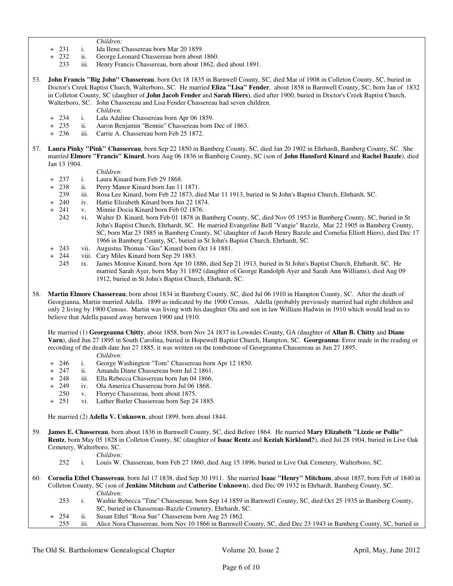*Children:*

- + 231 i. Ida Ilene Chassereau born Mar 20 1859.
- + 232 ii. George Leonard Chassereau born about 1860.
	- iii. Henry Francis Chassereau, born about 1862, died about 1891.
- 53. **John Francis "Big John" Chassereau**, born Oct 18 1835 in Barnwell County, SC, died Mar of 1908 in Colleton County, SC, buried in Doctor's Creek Baptist Church, Walterboro, SC. He married **Eliza "Lisa" Fender**, about 1858 in Barnwell County, SC, born Jan of 1832 in Colleton County, SC (daughter of **John Jacob Fender** and **Sarah Hiers**), died after 1900, buried in Doctor's Creek Baptist Church, Walterboro, SC. John Chassereau and Lisa Fender Chassereau had seven children.
	- *Children:*
	- + 234 i. Lala Adaline Chassereau born Apr 06 1859.
	- + 235 ii. Aaron Benjamin "Bennie" Chassereau born Dec of 1863.
	- iii. Carrie A. Chassereau born Feb 25 1872.
- 57. **Laura Pinky "Pink" Chassereau**, born Sep 22 1850 in Bamberg County, SC, died Jan 20 1902 in Ehrhardt, Bamberg County, SC. She married **Elmore "Francis" Kinard**, born Aug 06 1836 in Bamberg County, SC (son of **John Hansford Kinard** and **Rachel Bazzle**), died Jan 13 1904.

- *Children:*<br>+ 237 i. Laura Kin i. Laura Kinard born Feb 29 1868.
- + 238 ii. Perry Manor Kinard born Jan 11 1871.
- 239 iii. Rosa Lee Kinard, born Feb 22 1873, died Mar 11 1913, buried in St John's Baptist Church, Ehrhardt, SC.
- + 240 iv. Hattie Elizabeth Kinard born Jun 22 1874.
- + 241 v. Minnie Docia Kinard born Feb 02 1876.
	- 242 vi. Walter D. Kinard, born Feb 01 1878 in Bamberg County, SC, died Nov 05 1953 in Bamberg County, SC, buried in St John's Baptist Church, Ehrhardt, SC. He married Evangeline Bell "Vangie" Bazzle, Mar 22 1905 in Bamberg County, SC, born Mar 23 1885 in Bamberg County, SC (daughter of Jacob Henry Bazzle and Cornelia Elliott Hiers), died Dec 17 1966 in Bamberg County, SC, buried in St John's Baptist Church, Ehrhardt, SC.
- + 243 vii. Augustus Thomas "Gus" Kinard born Oct 14 1881.<br>+ 244 viii. Cary Miles Kinard born Sep 29 1883.
- viii. Cary Miles Kinard born Sep 29 1883.
	- 245 ix. James Monroe Kinard, born Apr 10 1886, died Sep 21 1913, buried in St John's Baptist Church, Ehrhardt, SC. He married Sarah Ayer, born May 31 1892 (daughter of George Randolph Ayer and Sarah Ann Williams), died Aug 09 1912, buried in St John's Baptist Church, Ehrhardt, SC.
- 58. **Martin Elmore Chassereau**, born about 1834 in Bamberg County, SC, died Jul 06 1910 in Hampton County, SC. After the death of Georgianna, Martin married Adella. 1899 as indicated by the 1900 Census. Adella (probably previously married had eight children and only 2 living by 1900 Census. Martin was living with his daughter Ola and son in law William Hadwin in 1910 which would lead us to believe that Adella passed away between 1900 and 1910.

 He married (1) **Georgeanna Chitty**, about 1858, born Nov 24 1837 in Lowndes County, GA (daughter of **Allan B. Chitty** and **Diane Varn**), died Jun 27 1895 in South Carolina, buried in Hopewell Baptist Church, Hampton, SC. **Georgeanna**: Error made in the reading or recording of the death date Jun 27 1885, it was written on the tombstone of Georgeanna Chassereau as Jun 27 1895.

*Children:*

- + 246 i. George Washington "Tom" Chassereau born Apr 12 1850.
- ii. Amanda Diane Chassereau born Jul 2 1861.
- 248 iii. Ella Rebecca Chassereau born Jun 04 1866.
- 249 iv. Ola America Chassereau born Jul 06 1868.
- 250 v. Florrye Chassereau, born about 1875.
- + 251 vi. Luther Butler Chassereau born Sep 24 1885.

He married (2) **Adella V. Unknown**, about 1899, born about 1844.

59. **James E. Chassereau**, born about 1836 in Barnwell County, SC, died Before 1864. He married **Mary Elizabeth "Lizzie or Pollie" Rentz**, born May 05 1828 in Colleton County, SC (daughter of **Isaac Rentz** and **Keziah Kirkland?**), died Jul 28 1904, buried in Live Oak Cemetery, Walterboro, SC.

*Children:*

- 252 i. Louis W. Chassereau, born Feb 27 1860, died Aug 15 1896, buried in Live Oak Cemetery, Walterboro, SC.
- 60. **Cornelia Ethel Chassereau**, born Jul 17 1838, died Sep 30 1911. She married **Isaac "Henry" Mitchum**, about 1857, born Feb of 1840 in Colleton County, SC (son of **Jenkins Mitchum** and **Catherine Unknown**), died Dec 09 1932 in Ehrhardt, Bamberg County, SC. *Children:*
	- 253 i. Washie Rebecca "Tine" Chassereau, born Sep 14 1859 in Barnwell County, SC, died Oct 25 1935 in Bamberg County, SC, buried in Chassereau-Bazzle Cemetery, Ehrhardt, SC.
	- + 254 ii. Susan Ethel "Rosa Sue" Chassereau born Aug 25 1862.
	- iii. Alice Nora Chassereau, born Nov 10 1866 in Barnwell County, SC, died Dec 23 1943 in Bamberg County, SC, buried in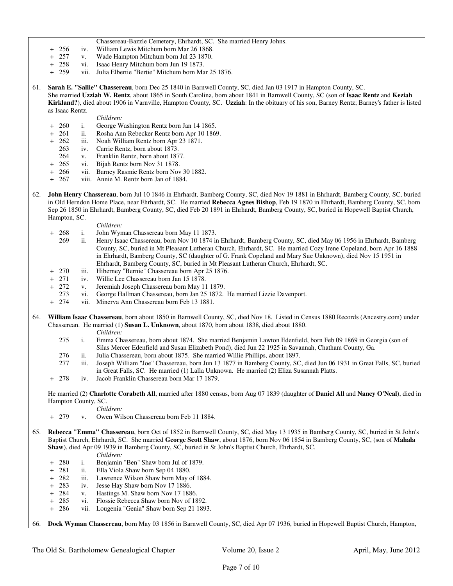- Chassereau-Bazzle Cemetery, Ehrhardt, SC. She married Henry Johns.
- + 256 iv. William Lewis Mitchum born Mar 26 1868.<br>+ 257 v. Wade Hampton Mitchum born Jul 23 1870.
- + 257 v. Wade Hampton Mitchum born Jul 23 1870.<br>+ 258 vi. Isaac Henry Mitchum born Jun 19 1873.
- vi. Isaac Henry Mitchum born Jun 19 1873.
- + 259 vii. Julia Elbertie "Bertie" Mitchum born Mar 25 1876.
- 61. **Sarah E. "Sallie" Chassereau**, born Dec 25 1840 in Barnwell County, SC, died Jan 03 1917 in Hampton County, SC.

 She married **Uzziah W. Rentz**, about 1865 in South Carolina, born about 1841 in Barnwell County, SC (son of **Isaac Rentz** and **Keziah Kirkland?**), died about 1906 in Varnville, Hampton County, SC. **Uzziah**: In the obituary of his son, Barney Rentz; Barney's father is listed as Isaac Rentz.

#### *Children:*

- + 260 i. George Washington Rentz born Jan 14 1865.
- ii. Rosha Ann Rebecker Rentz born Apr 10 1869.
- + 262 iii. Noah William Rentz born Apr 23 1871.
	- 263 iv. Carrie Rentz, born about 1873.
- 264 v. Franklin Rentz, born about 1877.
- + 265 vi. Bijah Rentz born Nov 31 1878.
- + 266 vii. Barney Rasmie Rentz born Nov 30 1882.
- + 267 viii. Annie M. Rentz born Jan of 1884.
- 62. **John Henry Chassereau**, born Jul 10 1846 in Ehrhardt, Bamberg County, SC, died Nov 19 1881 in Ehrhardt, Bamberg County, SC, buried in Old Herndon Home Place, near Ehrhardt, SC. He married **Rebecca Agnes Bishop**, Feb 19 1870 in Ehrhardt, Bamberg County, SC, born Sep 26 1850 in Ehrhardt, Bamberg County, SC, died Feb 20 1891 in Ehrhardt, Bamberg County, SC, buried in Hopewell Baptist Church, Hampton, SC.
	- *Children:*
	- + 268 i. John Wyman Chassereau born May 11 1873.
		- 269 ii. Henry Isaac Chassereau, born Nov 10 1874 in Ehrhardt, Bamberg County, SC, died May 06 1956 in Ehrhardt, Bamberg County, SC, buried in Mt Pleasant Lutheran Church, Ehrhardt, SC. He married Cozy Irene Copeland, born Apr 16 1888 in Ehrhardt, Bamberg County, SC (daughter of G. Frank Copeland and Mary Sue Unknown), died Nov 15 1951 in Ehrhardt, Bamberg County, SC, buried in Mt Pleasant Lutheran Church, Ehrhardt, SC.
	- + 270 iii. Hiberney "Bernie" Chassereau born Apr 25 1876.
	- 271 iv. Willie Lee Chassereau born Jan 15 1878.
	- + 272 v. Jeremiah Joseph Chassereau born May 11 1879.
	- 273 vi. George Hallman Chassereau, born Jan 25 1872. He married Lizzie Davenport.
	- + 274 vii. Minerva Ann Chassereau born Feb 13 1881.

64. **William Isaac Chassereau**, born about 1850 in Barnwell County, SC, died Nov 18. Listed in Census 1880 Records (Ancestry.com) under Chasserean. He married (1) **Susan L. Unknown**, about 1870, born about 1838, died about 1880.

*Children:*

- 275 i. Emma Chassereau, born about 1874. She married Benjamin Lawton Edenfield, born Feb 09 1869 in Georgia (son of Silas Mercer Edenfield and Susan Elizabeth Pond), died Jun 22 1925 in Savannah, Chatham County, Ga.
- 276 ii. Julia Chassereau, born about 1875. She married Willie Phillips, about 1897.
- 277 iii. Joseph William "Joe" Chassereau, born Jun 13 1877 in Bamberg County, SC, died Jun 06 1931 in Great Falls, SC, buried in Great Falls, SC. He married (1) Lalla Unknown. He married (2) Eliza Susannah Platts.
- + 278 iv. Jacob Franklin Chassereau born Mar 17 1879.

 He married (2) **Charlotte Corabeth All**, married after 1880 census, born Aug 07 1839 (daughter of **Daniel All** and **Nancy O'Neal**), died in Hampton County, SC.

*Children:*

- + 279 v. Owen Wilson Chassereau born Feb 11 1884.
- 65. **Rebecca "Emma" Chassereau**, born Oct of 1852 in Barnwell County, SC, died May 13 1935 in Bamberg County, SC, buried in St John's Baptist Church, Ehrhardt, SC. She married **George Scott Shaw**, about 1876, born Nov 06 1854 in Bamberg County, SC, (son of **Mahala Shaw**), died Apr 09 1939 in Bamberg County, SC, buried in St John's Baptist Church, Ehrhardt, SC.

*Children:*

- + 280 i. Benjamin "Ben" Shaw born Jul of 1879.
- + 281 ii. Ella Viola Shaw born Sep 04 1880.
- + 282 iii. Lawrence Wilson Shaw born May of 1884.
- + 283 iv. Jesse Hay Shaw born Nov 17 1886.
- + 284 v. Hastings M. Shaw born Nov 17 1886.
- 
- + 285 vi. Flossie Rebecca Shaw born Nov of 1892. vii. Lougenia "Genia" Shaw born Sep 21 1893.

66. **Dock Wyman Chassereau**, born May 03 1856 in Barnwell County, SC, died Apr 07 1936, buried in Hopewell Baptist Church, Hampton,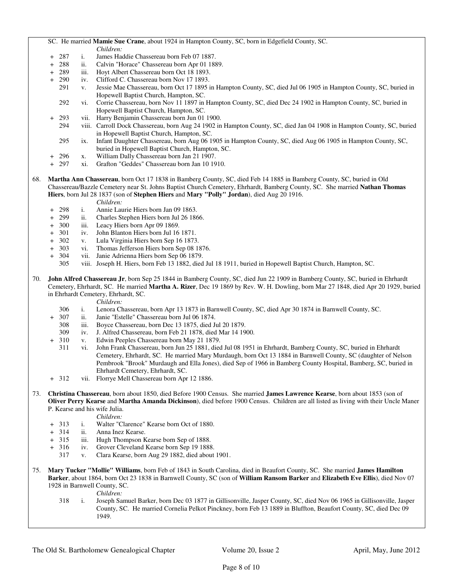- SC. He married **Mamie Sue Crane**, about 1924 in Hampton County, SC, born in Edgefield County, SC.
- *Children:*<br>+ 287 i. James Ha 287 i. James Haddie Chassereau born Feb 07 1887.<br>288 ii. Calvin "Horace" Chassereau born Apr 01 188
- + 288 ii. Calvin "Horace" Chassereau born Apr 01 1889.
- 289 iii. Hoyt Albert Chassereau born Oct 18 1893.
- 290 iv. Clifford C. Chassereau born Nov 17 1893.
- 291 v. Jessie Mae Chassereau, born Oct 17 1895 in Hampton County, SC, died Jul 06 1905 in Hampton County, SC, buried in Hopewell Baptist Church, Hampton, SC.
- 292 vi. Corrie Chassereau, born Nov 11 1897 in Hampton County, SC, died Dec 24 1902 in Hampton County, SC, buried in Hopewell Baptist Church, Hampton, SC.
- 293 vii. Harry Benjamin Chassereau born Jun 01 1900.
- 294 viii. Carroll Dock Chassereau, born Aug 24 1902 in Hampton County, SC, died Jan 04 1908 in Hampton County, SC, buried in Hopewell Baptist Church, Hampton, SC.
- 295 ix. Infant Daughter Chassereau, born Aug 06 1905 in Hampton County, SC, died Aug 06 1905 in Hampton County, SC, buried in Hopewell Baptist Church, Hampton, SC.
- + 296 x. William Dally Chassereau born Jan 21 1907.
- + 297 xi. Grafton "Geddes" Chassereau born Jan 10 1910.
- 68. **Martha Ann Chassereau**, born Oct 17 1838 in Bamberg County, SC, died Feb 14 1885 in Bamberg County, SC, buried in Old Chassereau/Bazzle Cemetery near St. Johns Baptist Church Cemetery, Ehrhardt, Bamberg County, SC. She married **Nathan Thomas Hiers**, born Jul 28 1837 (son of **Stephen Hiers** and **Mary "Polly" Jordan**), died Aug 20 1916.
	-
	- *Children:*<br>298 i. Annie Lau + 298 i. Annie Laurie Hiers born Jan 09 1863.
	- ii. Charles Stephen Hiers born Jul 26 1866.
	- + 300 iii. Leacy Hiers born Apr 09 1869.<br>+ 301 iv. John Blanton Hiers born Jul 16
	- + 301 iv. John Blanton Hiers born Jul 16 1871.
	- v. Lula Virginia Hiers born Sep 16 1873.
	- + 303 vi. Thomas Jefferson Hiers born Sep 08 1876.<br>+ 304 vii. Janie Adrienna Hiers born Sep 06 1879.
	- + 304 vii. Janie Adrienna Hiers born Sep 06 1879.
		- 305 viii. Joseph H. Hiers, born Feb 13 1882, died Jul 18 1911, buried in Hopewell Baptist Church, Hampton, SC.
- 70. **John Alfred Chassereau Jr**, born Sep 25 1844 in Bamberg County, SC, died Jun 22 1909 in Bamberg County, SC, buried in Ehrhardt Cemetery, Ehrhardt, SC. He married **Martha A. Rizer**, Dec 19 1869 by Rev. W. H. Dowling, born Mar 27 1848, died Apr 20 1929, buried in Ehrhardt Cemetery, Ehrhardt, SC.

*Children:*

- 306 i. Lenora Chassereau, born Apr 13 1873 in Barnwell County, SC, died Apr 30 1874 in Barnwell County, SC.
- + 307 ii. Janie "Estelle" Chassereau born Jul 06 1874.
	- iii. Boyce Chassereau, born Dec 13 1875, died Jul 20 1879.
	- 309 iv. J. Alfred Chassereau, born Feb 21 1878, died Mar 14 1900.
- 310 v. Edwin Peeples Chassereau born May 21 1879.
- 311 vi. John Frank Chassereau, born Jun 25 1881, died Jul 08 1951 in Ehrhardt, Bamberg County, SC, buried in Ehrhardt Cemetery, Ehrhardt, SC. He married Mary Murdaugh, born Oct 13 1884 in Barnwell County, SC (daughter of Nelson Pembrook "Brook" Murdaugh and Ella Jones), died Sep of 1966 in Bamberg County Hospital, Bamberg, SC, buried in Ehrhardt Cemetery, Ehrhardt, SC.
- + 312 vii. Florrye Mell Chassereau born Apr 12 1886.
- 73. **Christina Chassereau**, born about 1850, died Before 1900 Census. She married **James Lawrence Kearse**, born about 1853 (son of **Oliver Perry Kearse** and **Martha Amanda Dickinson**), died before 1900 Census. Children are all listed as living with their Uncle Maner P. Kearse and his wife Julia.

*Children:*

- + 313 i. Walter "Clarence" Kearse born Oct of 1880.
- + 314 ii. Anna Inez Kearse.
- + 315 iii. Hugh Thompson Kearse born Sep of 1888.
- + 316 iv. Grover Cleveland Kearse born Sep 19 1888.
	- 317 v. Clara Kearse, born Aug 29 1882, died about 1901.
- 75. **Mary Tucker "Mollie" Williams**, born Feb of 1843 in South Carolina, died in Beaufort County, SC. She married **James Hamilton Barker**, about 1864, born Oct 23 1838 in Barnwell County, SC (son of **William Ransom Barker** and **Elizabeth Eve Ellis**), died Nov 07 1928 in Barnwell County, SC.

*Children:*

 318 i. Joseph Samuel Barker, born Dec 03 1877 in Gillisonville, Jasper County, SC, died Nov 06 1965 in Gillisonville, Jasper County, SC. He married Cornelia Pelkot Pinckney, born Feb 13 1889 in Bluffton, Beaufort County, SC, died Dec 09 1949.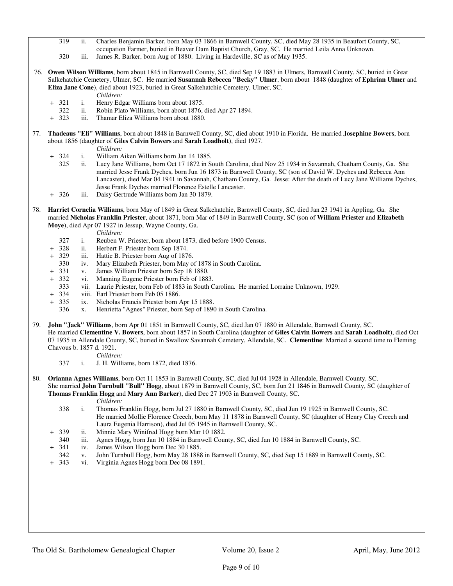- 319 ii. Charles Benjamin Barker, born May 03 1866 in Barnwell County, SC, died May 28 1935 in Beaufort County, SC, occupation Farmer, buried in Beaver Dam Baptist Church, Gray, SC. He married Leila Anna Unknown.
- 320 iii. James R. Barker, born Aug of 1880. Living in Hardeville, SC as of May 1935.
- 76. **Owen Wilson Williams**, born about 1845 in Barnwell County, SC, died Sep 19 1883 in Ulmers, Barnwell County, SC, buried in Great Salkehatchie Cemetery, Ulmer, SC. He married **Susannah Rebecca "Becky" Ulmer**, born about 1848 (daughter of **Ephrian Ulmer** and **Eliza Jane Cone**), died about 1923, buried in Great Salkehatchie Cemetery, Ulmer, SC.
	- *Children:*
	- + 321 i. Henry Edgar Williams born about 1875.
	- 322 ii. Robin Plato Williams, born about 1876, died Apr 27 1894.
	- + 323 iii. Thamar Eliza Williams born about 1880.
- 77. **Thadeaus "Eli" Williams**, born about 1848 in Barnwell County, SC, died about 1910 in Florida. He married **Josephine Bowers**, born about 1856 (daughter of **Giles Calvin Bowers** and **Sarah Loadholt**), died 1927. *Children:*
	- + 324 i. William Aiken Williams born Jan 14 1885.
		- 325 ii. Lucy Jane Williams, born Oct 17 1872 in South Carolina, died Nov 25 1934 in Savannah, Chatham County, Ga. She married Jesse Frank Dyches, born Jun 16 1873 in Barnwell County, SC (son of David W. Dyches and Rebecca Ann Lancaster), died Mar 04 1941 in Savannah, Chatham County, Ga. Jesse: After the death of Lucy Jane Williams Dyches, Jesse Frank Dyches married Florence Estelle Lancaster.
	- + 326 iii. Daisy Gertrude Williams born Jan 30 1879.
- 78. **Harriet Cornelia Williams**, born May of 1849 in Great Salkehatchie, Barnwell County, SC, died Jan 23 1941 in Appling, Ga. She married **Nicholas Franklin Priester**, about 1871, born Mar of 1849 in Barnwell County, SC (son of **William Priester** and **Elizabeth Moye**), died Apr 07 1927 in Jessup, Wayne County, Ga.
	- *Children:*
	- 327 i. Reuben W. Priester, born about 1873, died before 1900 Census.
	- 328 ii. Herbert F. Priester born Sep 1874.<br>329 iii. Hattie B. Priester born Aug of 187
	- iii. Hattie B. Priester born Aug of 1876.
	- 330 iv. Mary Elizabeth Priester, born May of 1878 in South Carolina.
	- 331 v. James William Priester born Sep 18 1880.
	- 332 vi. Manning Eugene Priester born Feb of 1883.
	- 333 vii. Laurie Priester, born Feb of 1883 in South Carolina. He married Lorraine Unknown, 1929.
	- + 334 viii. Earl Priester born Feb 05 1886.
	- + 335 ix. Nicholas Francis Priester born Apr 15 1888.
		- 336 x. Henrietta "Agnes" Priester, born Sep of 1890 in South Carolina.
- 79. **John "Jack" Williams**, born Apr 01 1851 in Barnwell County, SC, died Jan 07 1880 in Allendale, Barnwell County, SC. He married **Clementine V. Bowers**, born about 1857 in South Carolina (daughter of **Giles Calvin Bowers** and **Sarah Loadholt**), died Oct 07 1935 in Allendale County, SC, buried in Swallow Savannah Cemetery, Allendale, SC. **Clementine**: Married a second time to Fleming Chavous b. 1857 d. 1921.
	- *Children:*
	- 337 i. J. H. Williams, born 1872, died 1876.
- 80. **Orianna Agnes Williams**, born Oct 11 1853 in Barnwell County, SC, died Jul 04 1928 in Allendale, Barnwell County, SC. She married **John Turnbull "Bull" Hogg**, about 1879 in Barnwell County, SC, born Jun 21 1846 in Barnwell County, SC (daughter of **Thomas Franklin Hogg** and **Mary Ann Barker**), died Dec 27 1903 in Barnwell County, SC.
	- *Children:*
	- 338 i. Thomas Franklin Hogg, born Jul 27 1880 in Barnwell County, SC, died Jun 19 1925 in Barnwell County, SC. He married Mollie Florence Creech, born May 11 1878 in Barnwell County, SC (daughter of Henry Clay Creech and Laura Eugenia Harrison), died Jul 05 1945 in Barnwell County, SC.
	- 339 ii. Minnie Mary Winifred Hogg born Mar 10 1882.
	- 340 iii. Agnes Hogg, born Jan 10 1884 in Barnwell County, SC, died Jan 10 1884 in Barnwell County, SC.
	- 341 iv. James Wilson Hogg born Dec 30 1885.
	- 342 v. John Turnbull Hogg, born May 28 1888 in Barnwell County, SC, died Sep 15 1889 in Barnwell County, SC.
	- + 343 vi. Virginia Agnes Hogg born Dec 08 1891.